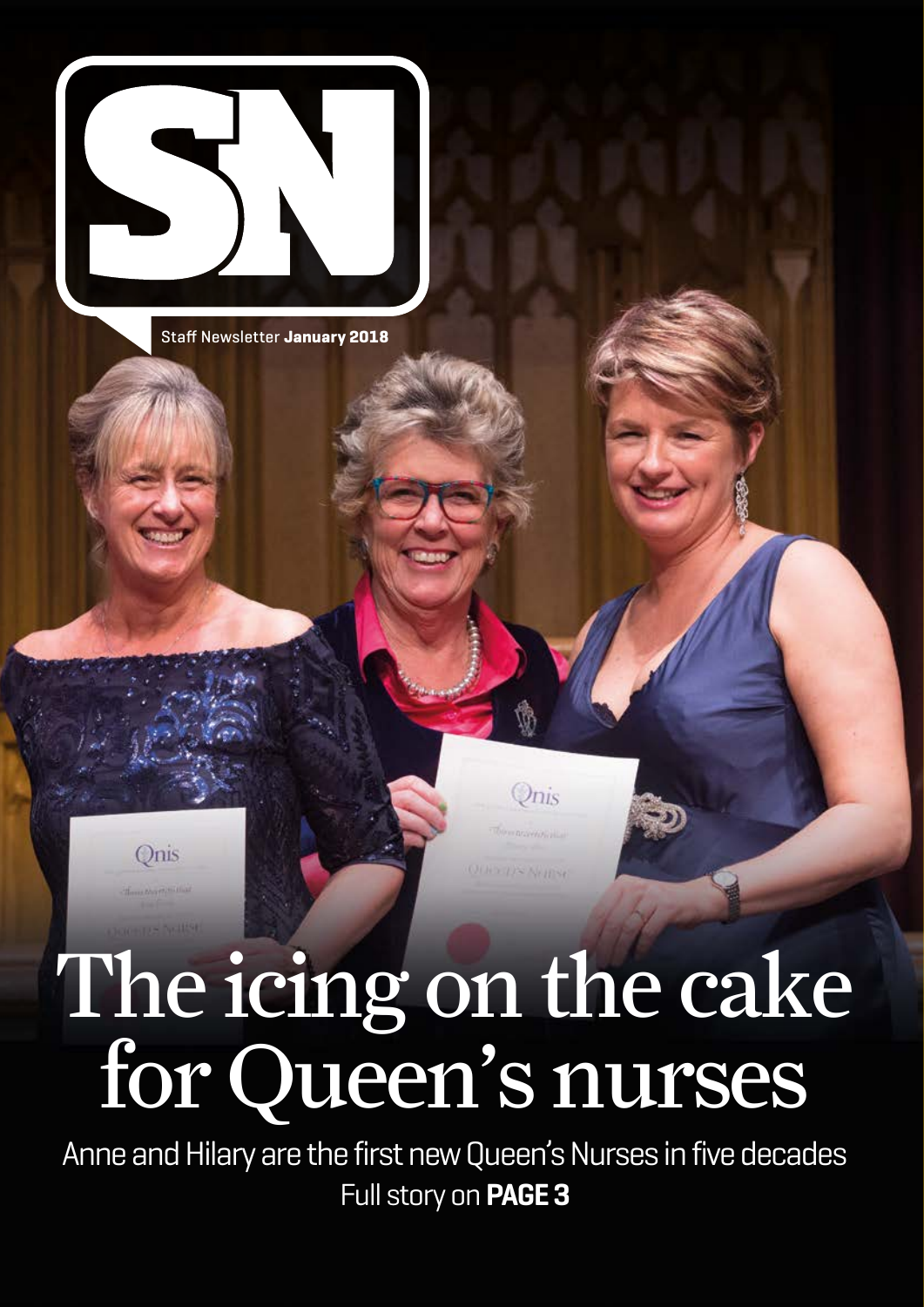

Onis

Staff Newsletter **January 2018**



Onis

**QUESTIN NEITSE** 

Anne and Hilary are the first new Queen's Nurses in five decades Full story on **PAGE 3**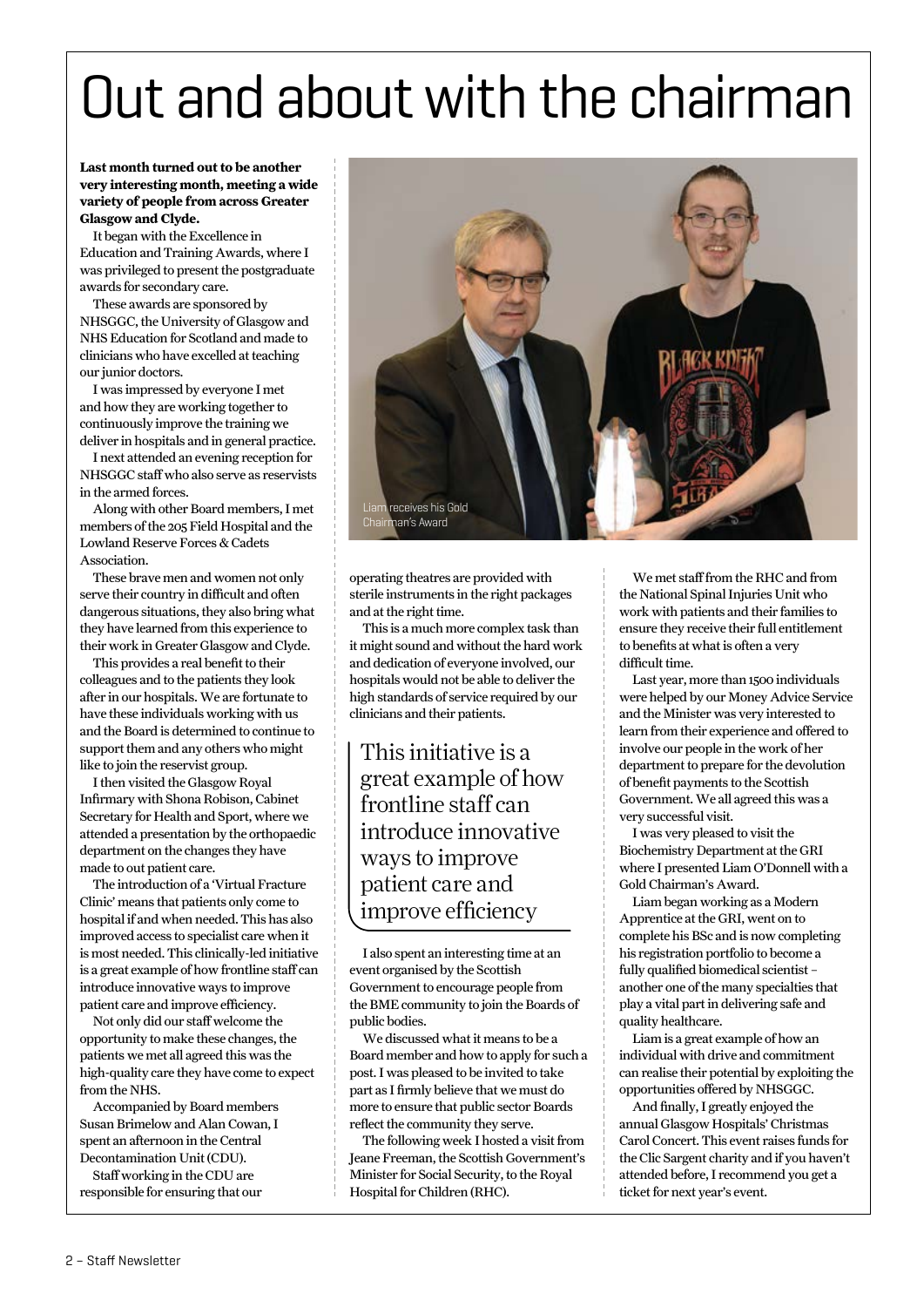# Out and about with the chairman

#### **Last month turned out to be another very interesting month, meeting a wide variety of people from across Greater Glasgow and Clyde.**

It began with the Excellence in Education and Training Awards, where I was privileged to present the postgraduate awards for secondary care.

These awards are sponsored by NHSGGC, the University of Glasgow and NHS Education for Scotland and made to clinicians who have excelled at teaching our junior doctors.

I was impressed by everyone I met and how they are working together to continuously improve the training we deliver in hospitals and in general practice.

I next attended an evening reception for NHSGGC staff who also serve as reservists in the armed forces.

Along with other Board members, I met members of the 205 Field Hospital and the Lowland Reserve Forces & Cadets Association.

These brave men and women not only serve their country in difficult and often dangerous situations, they also bring what they have learned from this experience to their work in Greater Glasgow and Clyde.

This provides a real benefit to their colleagues and to the patients they look after in our hospitals. We are fortunate to have these individuals working with us and the Board is determined to continue to support them and any others who might like to join the reservist group.

I then visited the Glasgow Royal Infirmary with Shona Robison, Cabinet Secretary for Health and Sport, where we attended a presentation by the orthopaedic department on the changes they have made to out patient care.

The introduction of a 'Virtual Fracture Clinic' means that patients only come to hospital if and when needed. This has also improved access to specialist care when it is most needed. This clinically-led initiative is a great example of how frontline staff can introduce innovative ways to improve patient care and improve efficiency.

Not only did our staff welcome the opportunity to make these changes, the patients we met all agreed this was the high-quality care they have come to expect from the NHS.

Accompanied by Board members Susan Brimelow and Alan Cowan, I spent an afternoon in the Central Decontamination Unit (CDU).

Staff working in the CDU are responsible for ensuring that our



operating theatres are provided with sterile instruments in the right packages and at the right time.

This is a much more complex task than it might sound and without the hard work and dedication of everyone involved, our hospitals would not be able to deliver the high standards of service required by our clinicians and their patients.

This initiative is a great example of how frontline staff can introduce innovative ways to improve patient care and improve efficiency

I also spent an interesting time at an event organised by the Scottish Government to encourage people from the BME community to join the Boards of public bodies.

We discussed what it means to be a Board member and how to apply for such a post. I was pleased to be invited to take part as I firmly believe that we must do more to ensure that public sector Boards reflect the community they serve.

The following week I hosted a visit from Jeane Freeman, the Scottish Government's Minister for Social Security, to the Royal Hospital for Children (RHC).

We met staff from the RHC and from the National Spinal Injuries Unit who work with patients and their families to ensure they receive their full entitlement to benefits at what is often a very difficult time.

Last year, more than 1500 individuals were helped by our Money Advice Service and the Minister was very interested to learn from their experience and offered to involve our people in the work of her department to prepare for the devolution of benefit payments to the Scottish Government. We all agreed this was a very successful visit.

I was very pleased to visit the Biochemistry Department at the GRI where I presented Liam O'Donnell with a Gold Chairman's Award.

Liam began working as a Modern Apprentice at the GRI, went on to complete his BSc and is now completing his registration portfolio to become a fully qualified biomedical scientist – another one of the many specialties that play a vital part in delivering safe and quality healthcare.

Liam is a great example of how an individual with drive and commitment can realise their potential by exploiting the opportunities offered by NHSGGC.

And finally, I greatly enjoyed the annual Glasgow Hospitals' Christmas Carol Concert. This event raises funds for the Clic Sargent charity and if you haven't attended before, I recommend you get a ticket for next year's event.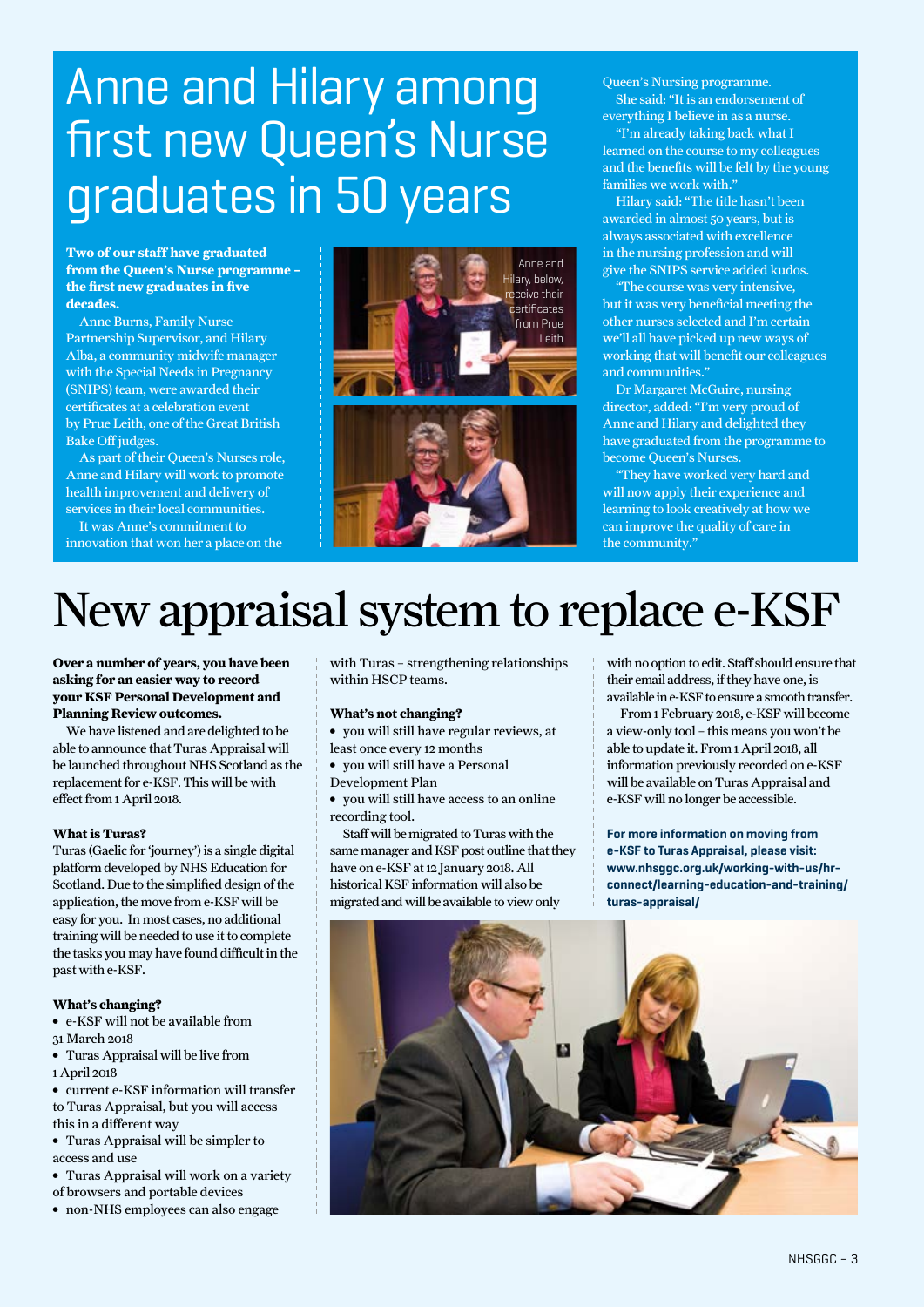## Anne and Hilary among first new Queen's Nurse graduates in 50 years

**Two of our staff have graduated from the Queen's Nurse programme – the first new graduates in five decades.**

Anne Burns, Family Nurse Partnership Supervisor, and Hilary Alba, a community midwife manager with the Special Needs in Pregnancy (SNIPS) team, were awarded their certificates at a celebration event by Prue Leith, one of the Great British Bake Off judges.

As part of their Queen's Nurses role, Anne and Hilary will work to promote health improvement and delivery of services in their local communities.

It was Anne's commitment to innovation that won her a place on the



Queen's Nursing programme. She said: "It is an endorsement of

everything I believe in as a nurse. "I'm already taking back what I learned on the course to my colleagues and the benefits will be felt by the young families we work with.'

Hilary said: "The title hasn't been awarded in almost 50 years, but is always associated with excellence in the nursing profession and will give the SNIPS service added kudos.

The course was very intensive, but it was very beneficial meeting the other nurses selected and I'm certain we'll all have picked up new ways of working that will benefit our colleagues and communities."

Dr Margaret McGuire, nursing director, added: "I'm very proud of Anne and Hilary and delighted they have graduated from the programme to become Queen's Nurses.

"They have worked very hard and will now apply their experience and learning to look creatively at how we can improve the quality of care in the community."

## New appraisal system to replace e-KSF

**Over a number of years, you have been asking for an easier way to record your KSF Personal Development and Planning Review outcomes.** 

We have listened and are delighted to be able to announce that Turas Appraisal will be launched throughout NHS Scotland as the replacement for e-KSF. This will be with effect from 1 April 2018.

#### **What is Turas?**

Turas (Gaelic for 'journey') is a single digital platform developed by NHS Education for Scotland. Due to the simplified design of the application, the move from e-KSF will be easy for you. In most cases, no additional training will be needed to use it to complete the tasks you may have found difficult in the past with e-KSF.

#### **What's changing?**

- **∫** e-KSF will not be available from 31 March 2018
- **∫** Turas Appraisal will be live from
- 1 April 2018
- **∫** current e-KSF information will transfer to Turas Appraisal, but you will access
- this in a different way **∫** Turas Appraisal will be simpler to
- access and use
- **∫** Turas Appraisal will work on a variety of browsers and portable devices
- **∫** non-NHS employees can also engage

with Turas – strengthening relationships within HSCP teams.

#### **What's not changing?**

- **∫** you will still have regular reviews, at least once every 12 months
- **∫** you will still have a Personal
- Development Plan
- **∫** you will still have access to an online recording tool.

Staff will be migrated to Turas with the same manager and KSF post outline that they have on e-KSF at 12 January 2018. All historical KSF information will also be migrated and will be available to view only

with no option to edit. Staff should ensure that their email address, if they have one, is available in e-KSF to ensure a smooth transfer.

From 1 February 2018, e-KSF will become a view-only tool – this means you won't be able to update it. From 1 April 2018, all information previously recorded on e-KSF will be available on Turas Appraisal and e-KSF will no longer be accessible.

**For more information on moving from e-KSF to Turas Appraisal, please visit: www.nhsggc.org.uk/working-with-us/hrconnect/learning-education-and-training/ turas-appraisal/**

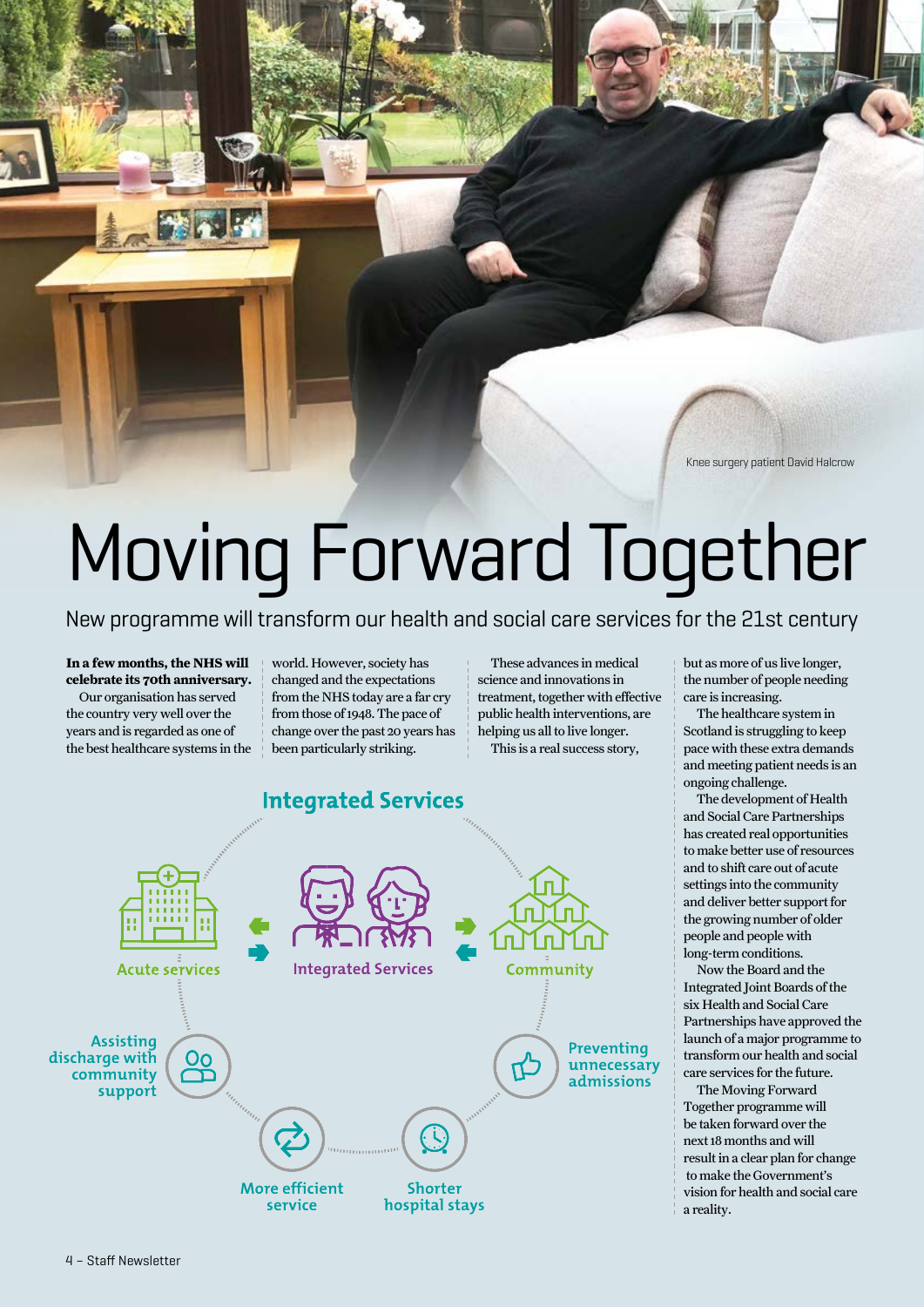Knee surgery patient David Halcrow

# Moving Forward Together

New programme will transform our health and social care services for the 21st century

#### **In a few months, the NHS will celebrate its 70th anniversary.**

Our organisation has served the country very well over the years and is regarded as one of the best healthcare systems in the world. However, society has changed and the expectations from the NHS today are a far cry from those of 1948. The pace of change over the past 20 years has been particularly striking.

These advances in medical science and innovations in treatment, together with effective public health interventions, are helping us all to live longer.

This is a real success story,



but as more of us live longer, the number of people needing care is increasing.

The healthcare system in Scotland is struggling to keep pace with these extra demands and meeting patient needs is an ongoing challenge.

The development of Health and Social Care Partnerships has created real opportunities to make better use of resources and to shift care out of acute settings into the community and deliver better support for the growing number of older people and people with long-term conditions.

Now the Board and the Integrated Joint Boards of the six Health and Social Care Partnerships have approved the launch of a major programme to transform our health and social care services for the future.

The Moving Forward Together programme will be taken forward over the next 18 months and will result in a clear plan for change to make the Government's vision for health and social care a reality.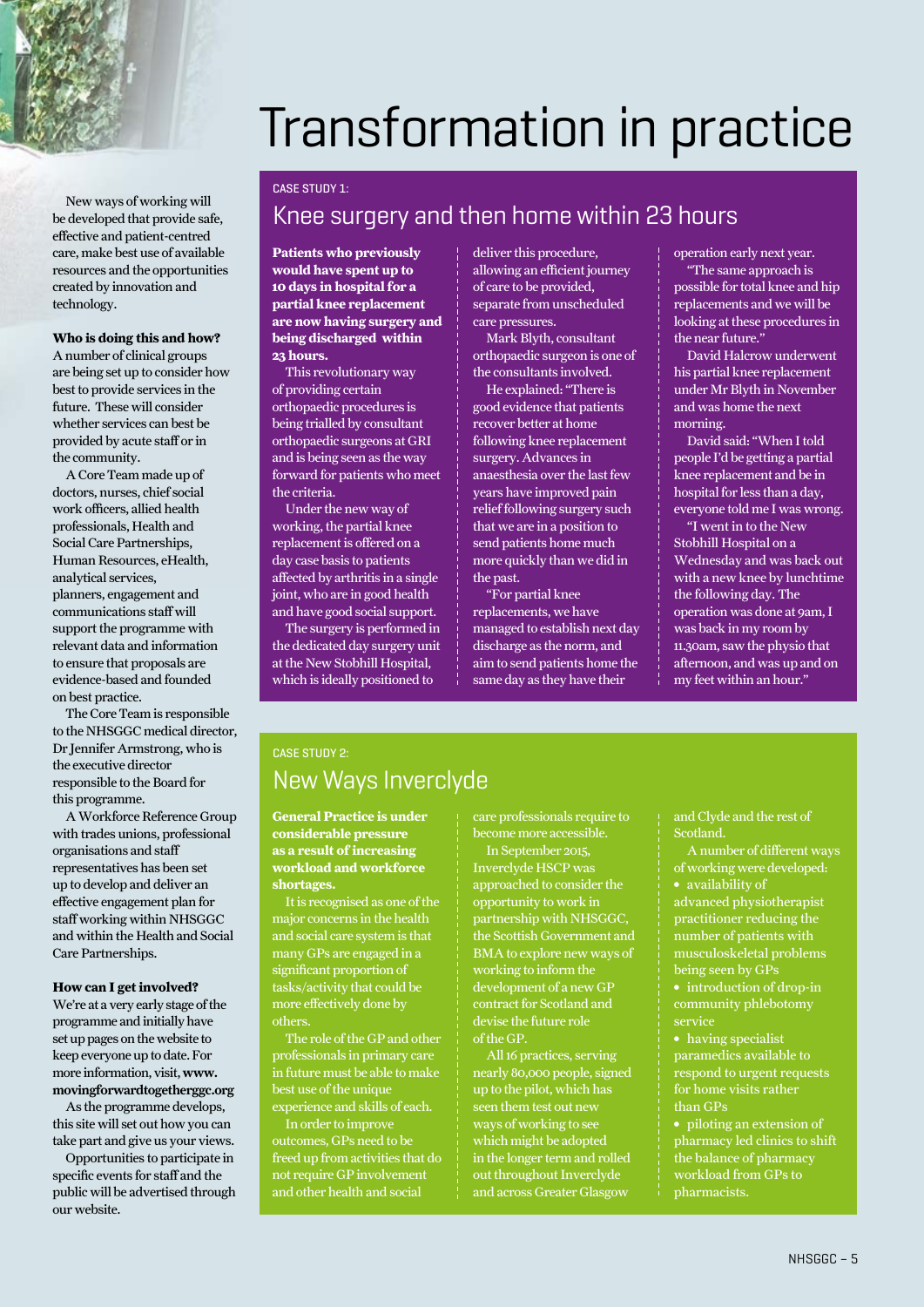

#### **CASE STUDY 1:**

New ways of working will be developed that provide safe, effective and patient-centred care, make best use of available resources and the opportunities created by innovation and

**Who is doing this and how?** A number of clinical groups are being set up to consider how best to provide services in the future. These will consider whether services can best be provided by acute staff or in

A Core Team made up of doctors, nurses, chief social work officers, allied health professionals, Health and Social Care Partnerships, Human Resources, eHealth, analytical services, planners, engagement and communications staff will support the programme with relevant data and information to ensure that proposals are evidence-based and founded

technology.

the community.

on best practice.

this programme.

organisations and staff representatives has been set up to develop and deliver an effective engagement plan for staff working within NHSGGC and within the Health and Social

Care Partnerships.

our website.

**How can I get involved?** We're at a very early stage of the programme and initially have set up pages on the website to keep everyone up to date. For more information, visit, www. movingforwardtogetherggc.org As the programme develops, this site will set out how you can take part and give us your views. Opportunities to participate in specific events for staff and the public will be advertised through

The Core Team is responsible to the NHSGGC medical director, Dr Jennifer Armstrong, who is the executive director responsible to the Board for

A Workforce Reference Group with trades unions, professional

### Knee surgery and then home within 23 hours

**Patients who previously would have spent up to 10 days in hospital for a partial knee replacement are now having surgery and being discharged within 23 hours.**

This revolutionary way of providing certain orthopaedic procedures is being trialled by consultant orthopaedic surgeons at GRI and is being seen as the way forward for patients who meet the criteria.

Under the new way of working, the partial knee replacement is offered on a day case basis to patients affected by arthritis in a single joint, who are in good health and have good social support.

The surgery is performed in the dedicated day surgery unit at the New Stobhill Hospital, which is ideally positioned to

deliver this procedure, allowing an efficient journey of care to be provided, separate from unscheduled care pressures.

Mark Blyth, consultant orthopaedic surgeon is one of the consultants involved.

He explained: "There is good evidence that patients recover better at home following knee replacement surgery. Advances in anaesthesia over the last few years have improved pain relief following surgery such that we are in a position to send patients home much more quickly than we did in the past.

"For partial knee replacements, we have managed to establish next day discharge as the norm, and aim to send patients home the same day as they have their

operation early next year.

"The same approach is possible for total knee and hip replacements and we will be looking at these procedures in the near future."

David Halcrow underwent his partial knee replacement under Mr Blyth in November and was home the next morning.

David said: "When I told people I'd be getting a partial knee replacement and be in hospital for less than a day, everyone told me I was wrong.

"I went in to the New Stobhill Hospital on a Wednesday and was back out with a new knee by lunchtime the following day. The operation was done at 9am, I was back in my room by 11.30am, saw the physio that afternoon, and was up and on my feet within an hour."

### **CASE STUDY 2:** New Ways Inverclyde

**General Practice is under considerable pressure as a result of increasing workload and workforce shortages.**

It is recognised as one of the major concerns in the health and social care system is that many GPs are engaged in a significant proportion of tasks/activity that could be more effectively done by others.

The role of the GP and other professionals in primary care in future must be able to make best use of the unique experience and skills of each.

In order to improve outcomes, GPs need to be freed up from activities that do not require GP involvement and other health and social

care professionals require to become more accessible.

In September 2015, Inverclyde HSCP was approached to consider the opportunity to work in partnership with NHSGGC, the Scottish Government and BMA to explore new ways of working to inform the development of a new GP contract for Scotland and devise the future role of the GP.

All 16 practices, serving nearly 80,000 people, signed up to the pilot, which has seen them test out new ways of working to see which might be adopted in the longer term and rolled out throughout Inverclyde and across Greater Glasgow

and Clyde and the rest of Scotland.

A number of different ways of working were developed: **∫** availability of

advanced physiotherapist practitioner reducing the number of patients with musculoskeletal problems being seen by GPs

**∫** introduction of drop-in community phlebotomy service

**∫** having specialist paramedics available to respond to urgent requests for home visits rather than GPs

**∫** piloting an extension of pharmacy led clinics to shift the balance of pharmacy workload from GPs to pharmacists.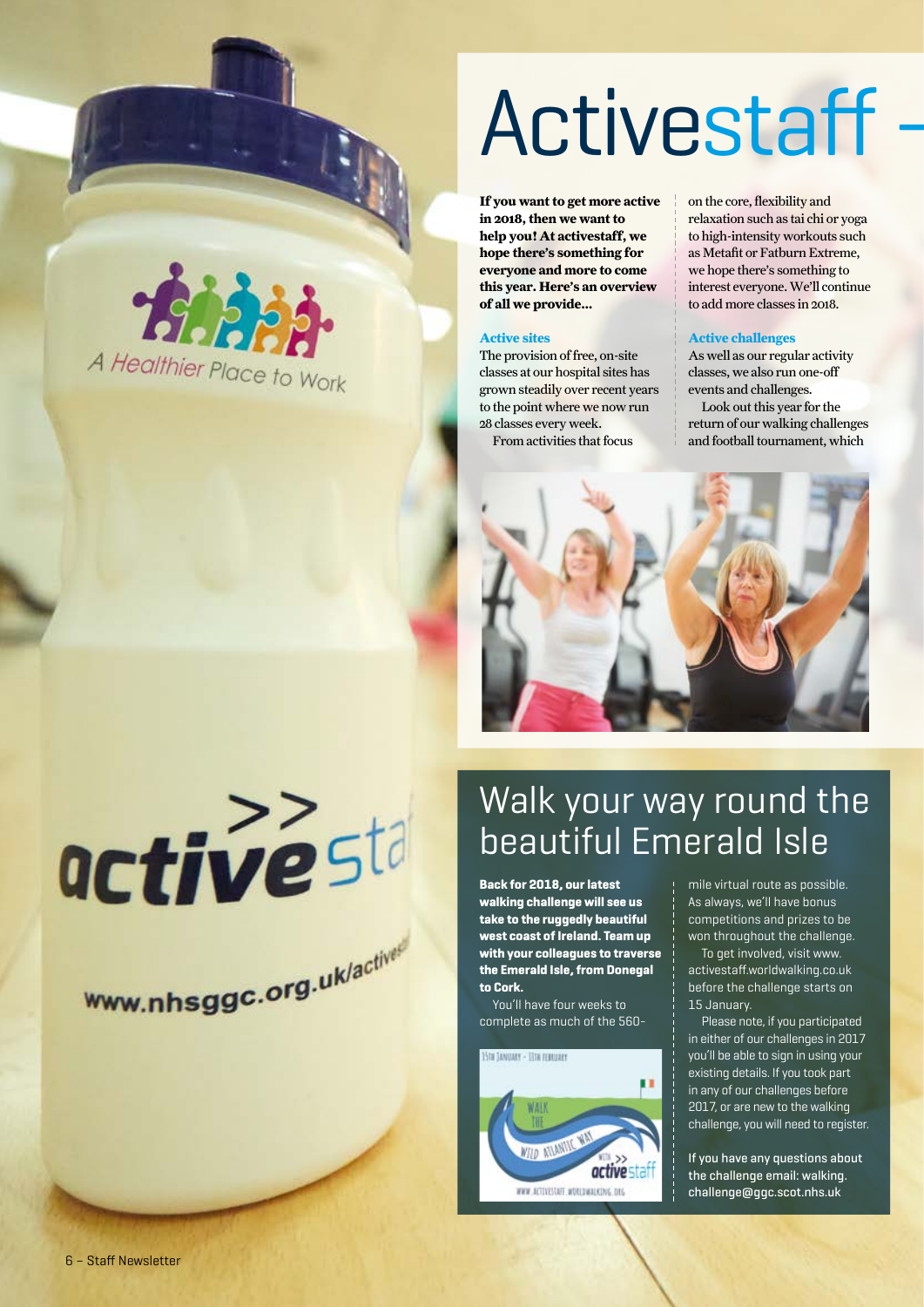# Activestaff

**If you want to get more active in 2018, then we want to help you! At activestaff, we hope there's something for everyone and more to come this year. Here's an overview of all we provide...**

#### **Active sites**

The provision of free, on-site classes at our hospital sites has grown steadily over recent years to the point where we now run 28 classes every week. From activities that focus

on the core, flexibility and relaxation such as tai chi or yoga to high-intensity workouts such as Metafit or Fatburn Extreme, we hope there's something to interest everyone. We'll continue to add more classes in 2018.

#### **Active challenges**

As well as our regular activity classes, we also run one-off events and challenges.

Look out this year for the return of our walking challenges and football tournament, which



## Walk your way round the beautiful Emerald Isle

**Back for 2018, our latest walking challenge will see us take to the ruggedly beautiful west coast of Ireland. Team up with your colleagues to traverse the Emerald Isle, from Donegal to Cork.** 

You'll have four weeks to complete as much of the 560-



mile virtual route as possible. As always, we'll have bonus competitions and prizes to be won throughout the challenge.

To get involved, visit www. activestaff.worldwalking.co.uk before the challenge starts on 15 January.

Please note, if you participated in either of our challenges in 2017 you'll be able to sign in using your existing details. If you took part in any of our challenges before 2017, or are new to the walking challenge, you will need to register.

**If you have any questions about the challenge email: walking. challenge@ggc.scot.nhs.uk** 





www.nhsggc.org.uk/actives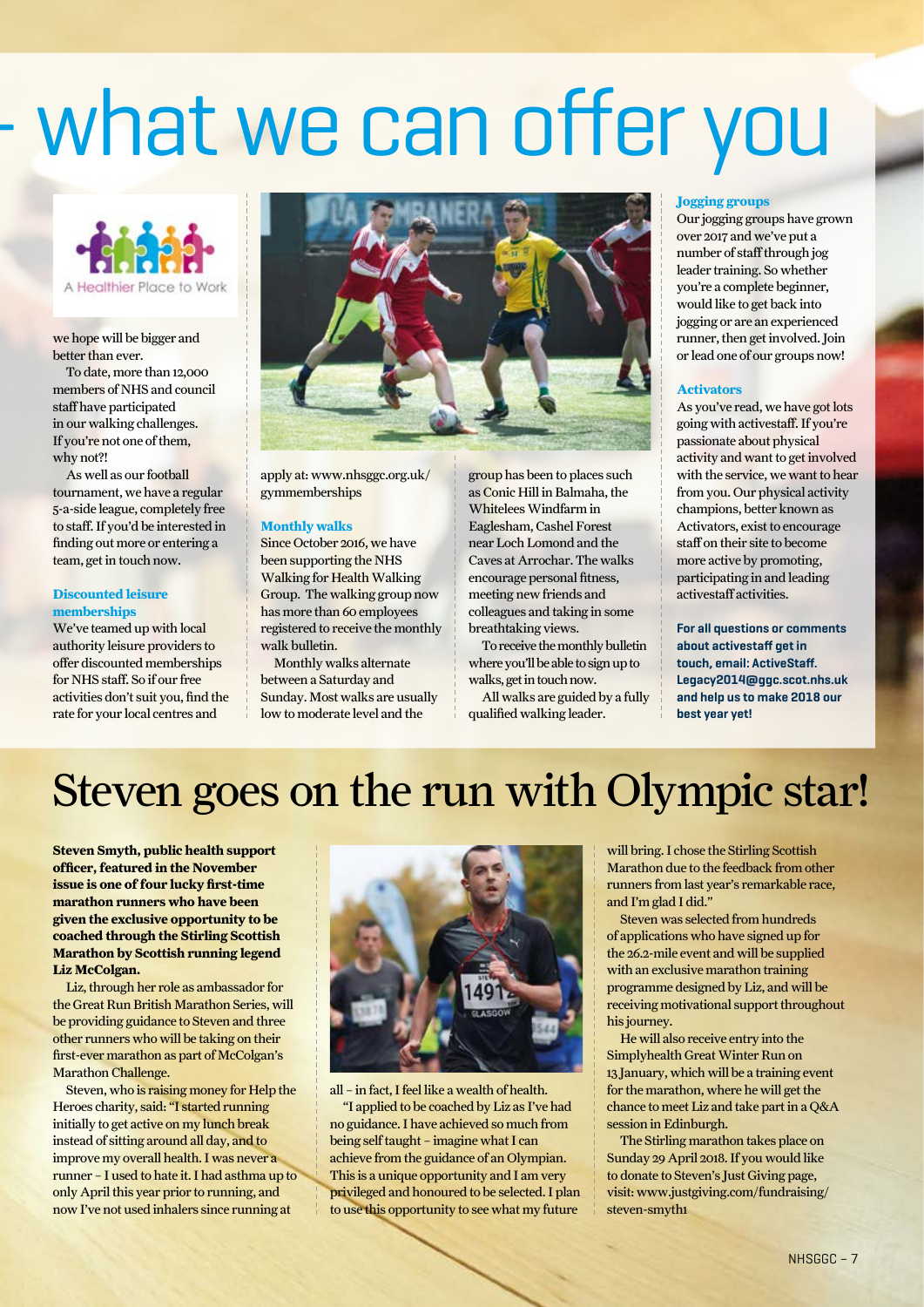# - what we can offer you



we hope will be bigger and better than ever.

To date, more than 12,000 members of NHS and council staff have participated in our walking challenges. If you're not one of them, why not?!

As well as our football tournament, we have a regular 5-a-side league, completely free to staff. If you'd be interested in finding out more or entering a team, get in touch now.

#### **Discounted leisure memberships**

We've teamed up with local authority leisure providers to offer discounted memberships for NHS staff. So if our free activities don't suit you, find the rate for your local centres and



apply at: www.nhsggc.org.uk/ gymmemberships

#### **Monthly walks**

Since October 2016, we have been supporting the NHS Walking for Health Walking Group. The walking group now has more than 60 employees registered to receive the monthly walk bulletin.

Monthly walks alternate between a Saturday and Sunday. Most walks are usually low to moderate level and the

group has been to places such as Conic Hill in Balmaha, the Whitelees Windfarm in Eaglesham, Cashel Forest near Loch Lomond and the Caves at Arrochar. The walks encourage personal fitness, meeting new friends and colleagues and taking in some breathtaking views.

To receive the monthly bulletin where you'll be able to sign up to walks, get in touch now.

All walks are guided by a fully qualified walking leader.

#### **Jogging groups**

Our jogging groups have grown over 2017 and we've put a number of staff through jog leader training. So whether you're a complete beginner, would like to get back into jogging or are an experienced runner, then get involved. Join or lead one of our groups now!

#### **Activators**

As you've read, we have got lots going with activestaff. If you're passionate about physical activity and want to get involved with the service, we want to hear from you. Our physical activity champions, better known as Activators, exist to encourage staff on their site to become more active by promoting, participating in and leading activestaff activities.

**For all questions or comments about activestaff get in touch, email: ActiveStaff. Legacy2014@ggc.scot.nhs.uk and help us to make 2018 our best year yet!**

## Steven goes on the run with Olympic star!

**Steven Smyth, public health support officer, featured in the November issue is one of four lucky first-time marathon runners who have been given the exclusive opportunity to be coached through the Stirling Scottish Marathon by Scottish running legend Liz McColgan.**

Liz, through her role as ambassador for the Great Run British Marathon Series, will be providing guidance to Steven and three other runners who will be taking on their first-ever marathon as part of McColgan's Marathon Challenge.

Steven, who is raising money for Help the Heroes charity, said: "I started running initially to get active on my lunch break instead of sitting around all day, and to improve my overall health. I was never a runner – I used to hate it. I had asthma up to only April this year prior to running, and now I've not used inhalers since running at



all – in fact, I feel like a wealth of health. "I applied to be coached by Liz as I've had no guidance. I have achieved so much from being self taught – imagine what I can achieve from the guidance of an Olympian. This is a unique opportunity and I am very privileged and honoured to be selected. I plan to use this opportunity to see what my future

will bring. I chose the Stirling Scottish Marathon due to the feedback from other runners from last year's remarkable race, and I'm glad I did."

Steven was selected from hundreds of applications who have signed up for the 26.2-mile event and will be supplied with an exclusive marathon training programme designed by Liz, and will be receiving motivational support throughout his journey.

He will also receive entry into the Simplyhealth Great Winter Run on 13 January, which will be a training event for the marathon, where he will get the chance to meet Liz and take part in a Q&A session in Edinburgh.

The Stirling marathon takes place on Sunday 29 April 2018. If you would like to donate to Steven's Just Giving page, visit: www.justgiving.com/fundraising/ steven-smyth1